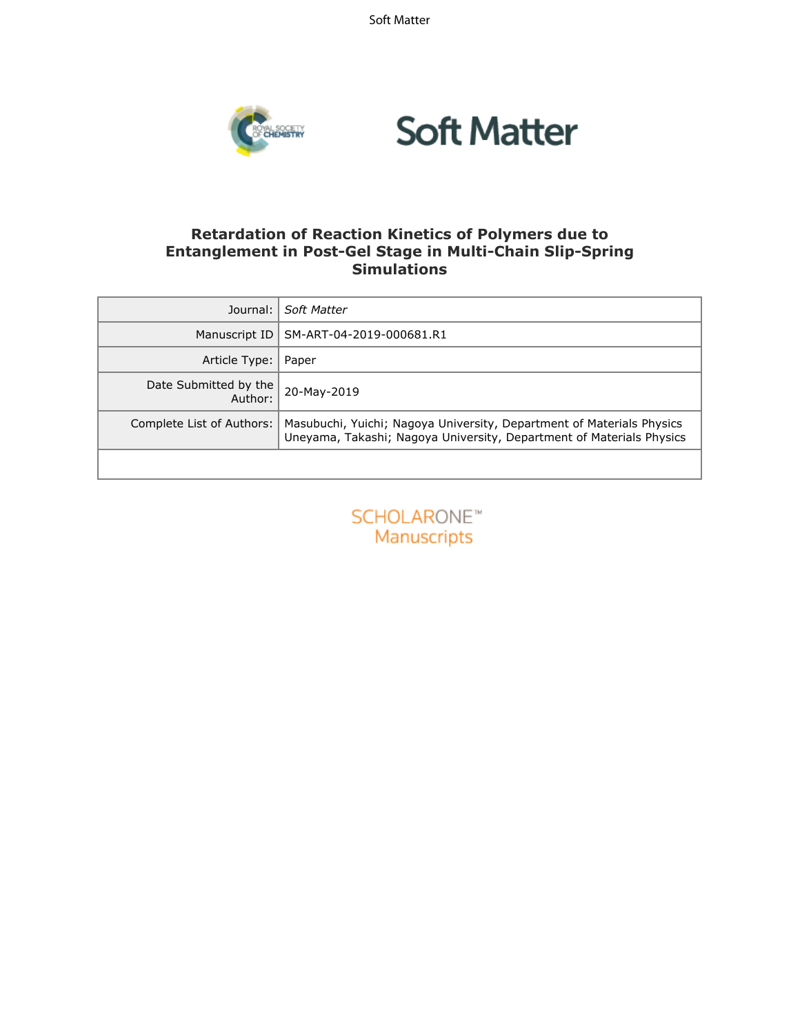Soft Matter



### **Retardation of Reaction Kinetics of Polymers due to Entanglement in Post-Gel Stage in Multi-Chain Slip-Spring Simulations**

| Journal:                         | Soft Matter                                                                                                                                   |
|----------------------------------|-----------------------------------------------------------------------------------------------------------------------------------------------|
| Manuscript ID                    | SM-ART-04-2019-000681.R1                                                                                                                      |
| Article Type:                    | Paper                                                                                                                                         |
| Date Submitted by the<br>Author: | 20-May-2019                                                                                                                                   |
| Complete List of Authors:        | Masubuchi, Yuichi; Nagoya University, Department of Materials Physics<br>Uneyama, Takashi; Nagoya University, Department of Materials Physics |
|                                  |                                                                                                                                               |

| SCHOLARONE™        |
|--------------------|
| <b>Manuscripts</b> |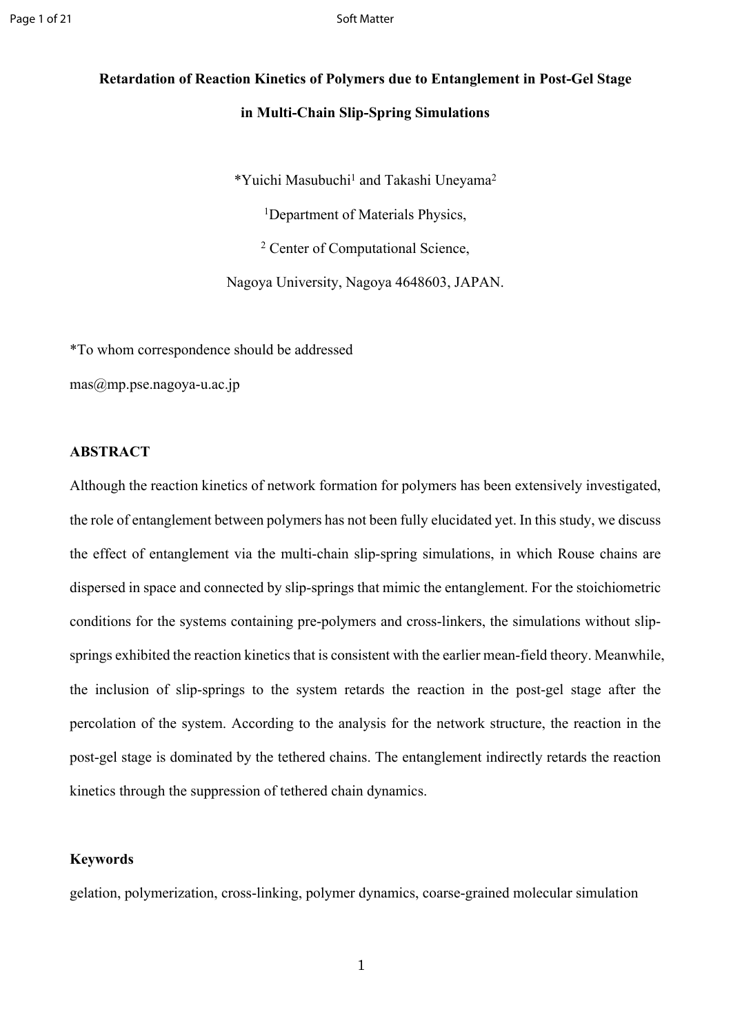# **Retardation of Reaction Kinetics of Polymers due to Entanglement in Post-Gel Stage in Multi-Chain Slip-Spring Simulations**

\*Yuichi Masubuchi<sup>1</sup> and Takashi Uneyama<sup>2</sup>

<sup>1</sup>Department of Materials Physics,

2 Center of Computational Science,

Nagoya University, Nagoya 4648603, JAPAN.

\*To whom correspondence should be addressed

[mas@mp.pse.nagoya-u.ac.jp](mailto:mas@mp.pse.nagoya-u.ac.jp)

### **ABSTRACT**

Although the reaction kinetics of network formation for polymers has been extensively investigated, the role of entanglement between polymers has not been fully elucidated yet. In this study, we discuss the effect of entanglement via the multi-chain slip-spring simulations, in which Rouse chains are dispersed in space and connected by slip-springs that mimic the entanglement. For the stoichiometric conditions for the systems containing pre-polymers and cross-linkers, the simulations without slipsprings exhibited the reaction kinetics that is consistent with the earlier mean-field theory. Meanwhile, the inclusion of slip-springs to the system retards the reaction in the post-gel stage after the percolation of the system. According to the analysis for the network structure, the reaction in the post-gel stage is dominated by the tethered chains. The entanglement indirectly retards the reaction kinetics through the suppression of tethered chain dynamics.

### **Keywords**

gelation, polymerization, cross-linking, polymer dynamics, coarse-grained molecular simulation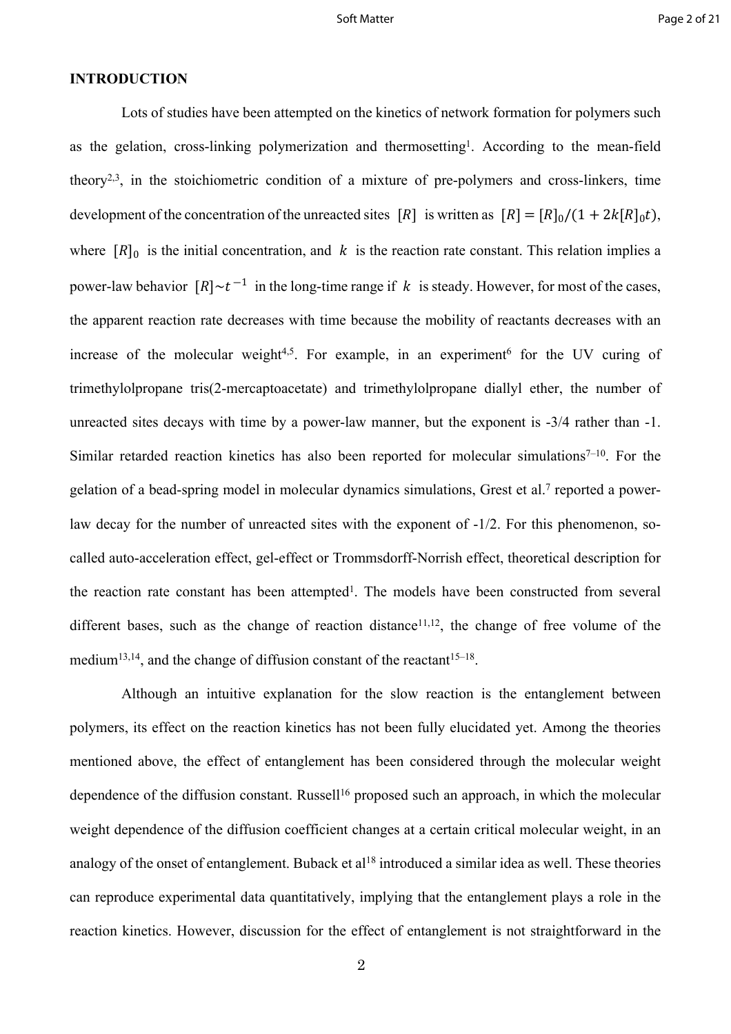### **INTRODUCTION**

Lots of studies have been attempted on the kinetics of network formation for polymers such as the gelation, cross-linking polymerization and thermosetting<sup>1</sup>. According to the mean-field theory<sup>2,3</sup>, in the stoichiometric condition of a mixture of pre-polymers and cross-linkers, time development of the concentration of the unreacted sites  $[R]$  is written as  $[R] = [R]_0/(1 + 2k[R]_0t)$ , where  $[R]_0$  is the initial concentration, and k is the reaction rate constant. This relation implies a power-law behavior  $[R] \sim t^{-1}$  in the long-time range if k is steady. However, for most of the cases, the apparent reaction rate decreases with time because the mobility of reactants decreases with an increase of the molecular weight<sup>4,5</sup>. For example, in an experiment<sup>6</sup> for the UV curing of trimethylolpropane tris(2-mercaptoacetate) and trimethylolpropane diallyl ether, the number of unreacted sites decays with time by a power-law manner, but the exponent is -3/4 rather than -1. Similar retarded reaction kinetics has also been reported for molecular simulations<sup> $7-10$ </sup>. For the gelation of a bead-spring model in molecular dynamics simulations, Grest et al.<sup>7</sup> reported a powerlaw decay for the number of unreacted sites with the exponent of -1/2. For this phenomenon, socalled auto-acceleration effect, gel-effect or Trommsdorff-Norrish effect, theoretical description for the reaction rate constant has been attempted<sup>1</sup>. The models have been constructed from several different bases, such as the change of reaction distance<sup>11,12</sup>, the change of free volume of the medium<sup>13,14</sup>, and the change of diffusion constant of the reactant<sup>15–18</sup>.

Although an intuitive explanation for the slow reaction is the entanglement between polymers, its effect on the reaction kinetics has not been fully elucidated yet. Among the theories mentioned above, the effect of entanglement has been considered through the molecular weight dependence of the diffusion constant. Russell<sup>16</sup> proposed such an approach, in which the molecular weight dependence of the diffusion coefficient changes at a certain critical molecular weight, in an analogy of the onset of entanglement. Buback et al<sup>18</sup> introduced a similar idea as well. These theories can reproduce experimental data quantitatively, implying that the entanglement plays a role in the reaction kinetics. However, discussion for the effect of entanglement is not straightforward in the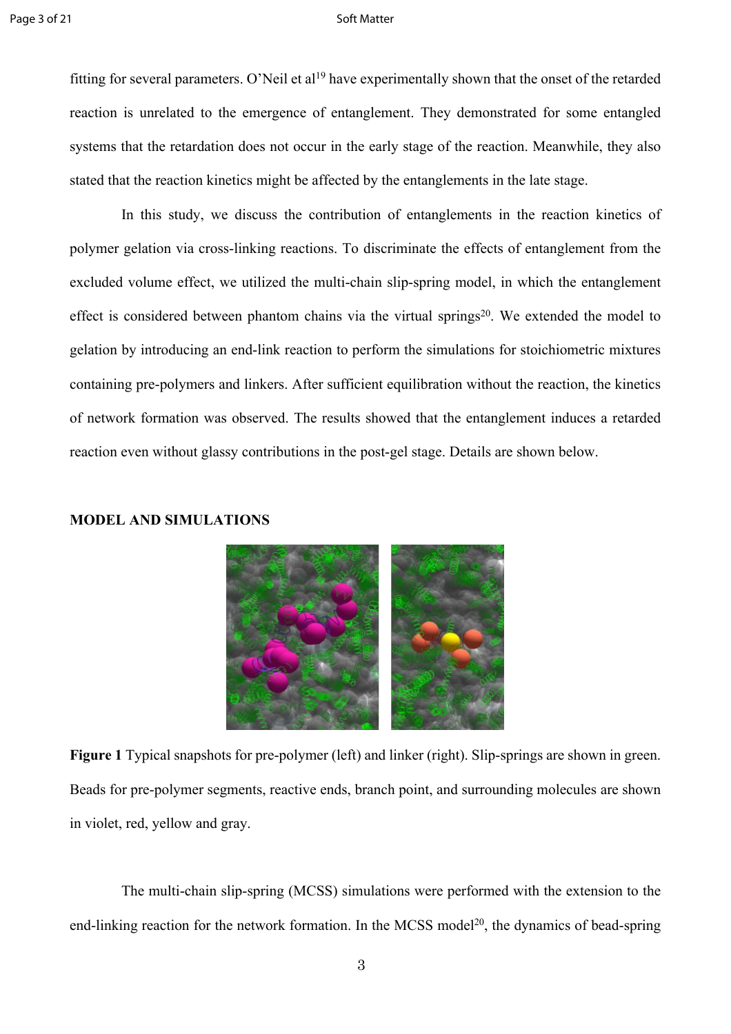fitting for several parameters. O'Neil et al<sup>19</sup> have experimentally shown that the onset of the retarded reaction is unrelated to the emergence of entanglement. They demonstrated for some entangled systems that the retardation does not occur in the early stage of the reaction. Meanwhile, they also stated that the reaction kinetics might be affected by the entanglements in the late stage.

In this study, we discuss the contribution of entanglements in the reaction kinetics of polymer gelation via cross-linking reactions. To discriminate the effects of entanglement from the excluded volume effect, we utilized the multi-chain slip-spring model, in which the entanglement effect is considered between phantom chains via the virtual springs<sup>20</sup>. We extended the model to gelation by introducing an end-link reaction to perform the simulations for stoichiometric mixtures containing pre-polymers and linkers. After sufficient equilibration without the reaction, the kinetics of network formation was observed. The results showed that the entanglement induces a retarded reaction even without glassy contributions in the post-gel stage. Details are shown below.

### **MODEL AND SIMULATIONS**

**Figure 1** Typical snapshots for pre-polymer (left) and linker (right). Slip-springs are shown in green. Beads for pre-polymer segments, reactive ends, branch point, and surrounding molecules are shown in violet, red, yellow and gray.

The multi-chain slip-spring (MCSS) simulations were performed with the extension to the end-linking reaction for the network formation. In the MCSS model<sup>20</sup>, the dynamics of bead-spring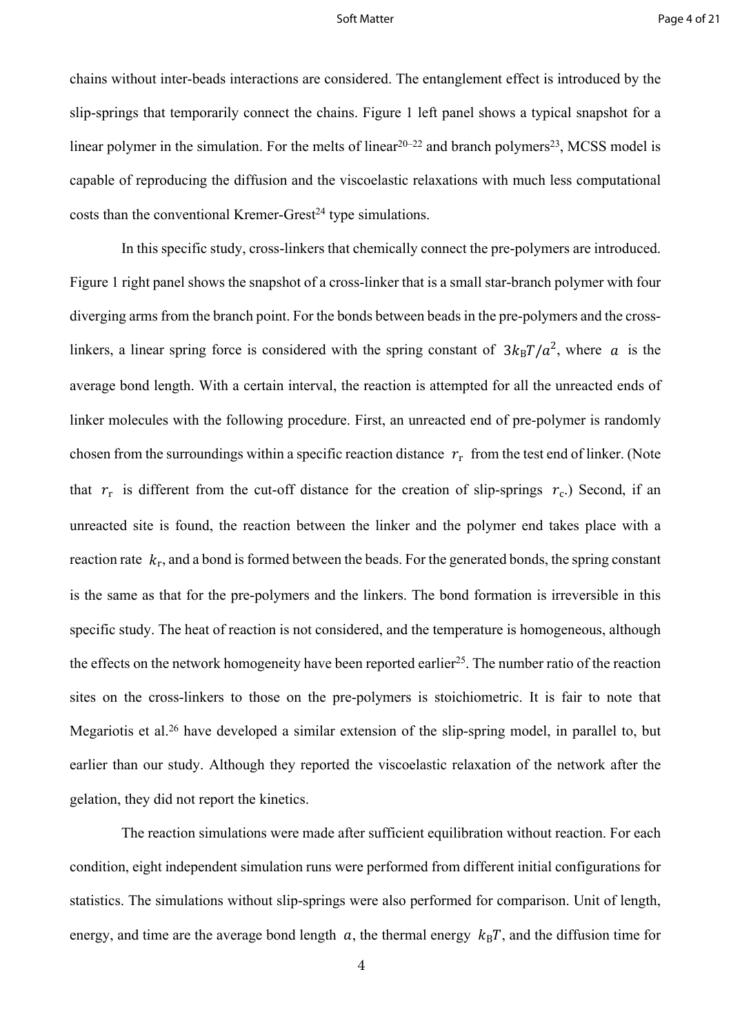chains without inter-beads interactions are considered. The entanglement effect is introduced by the slip-springs that temporarily connect the chains. Figure 1 left panel shows a typical snapshot for a linear polymer in the simulation. For the melts of linear $20-22$  and branch polymers<sup>23</sup>, MCSS model is capable of reproducing the diffusion and the viscoelastic relaxations with much less computational  $costs$  than the conventional Kremer-Grest<sup>24</sup> type simulations.

In this specific study, cross-linkers that chemically connect the pre-polymers are introduced. Figure 1 right panel shows the snapshot of a cross-linker that is a small star-branch polymer with four diverging arms from the branch point. For the bonds between beads in the pre-polymers and the crosslinkers, a linear spring force is considered with the spring constant of  $3k_BT/a^2$ , where a is the average bond length. With a certain interval, the reaction is attempted for all the unreacted ends of linker molecules with the following procedure. First, an unreacted end of pre-polymer is randomly chosen from the surroundings within a specific reaction distance  $r_r$  from the test end of linker. (Note that  $r_r$  is different from the cut-off distance for the creation of slip-springs  $r_c$ .) Second, if an unreacted site is found, the reaction between the linker and the polymer end takes place with a reaction rate  $k_r$ , and a bond is formed between the beads. For the generated bonds, the spring constant is the same as that for the pre-polymers and the linkers. The bond formation is irreversible in this specific study. The heat of reaction is not considered, and the temperature is homogeneous, although the effects on the network homogeneity have been reported earlier<sup>25</sup>. The number ratio of the reaction sites on the cross-linkers to those on the pre-polymers is stoichiometric. It is fair to note that Megariotis et al.<sup>26</sup> have developed a similar extension of the slip-spring model, in parallel to, but earlier than our study. Although they reported the viscoelastic relaxation of the network after the gelation, they did not report the kinetics.

The reaction simulations were made after sufficient equilibration without reaction. For each condition, eight independent simulation runs were performed from different initial configurations for statistics. The simulations without slip-springs were also performed for comparison. Unit of length, energy, and time are the average bond length  $a$ , the thermal energy  $k_B T$ , and the diffusion time for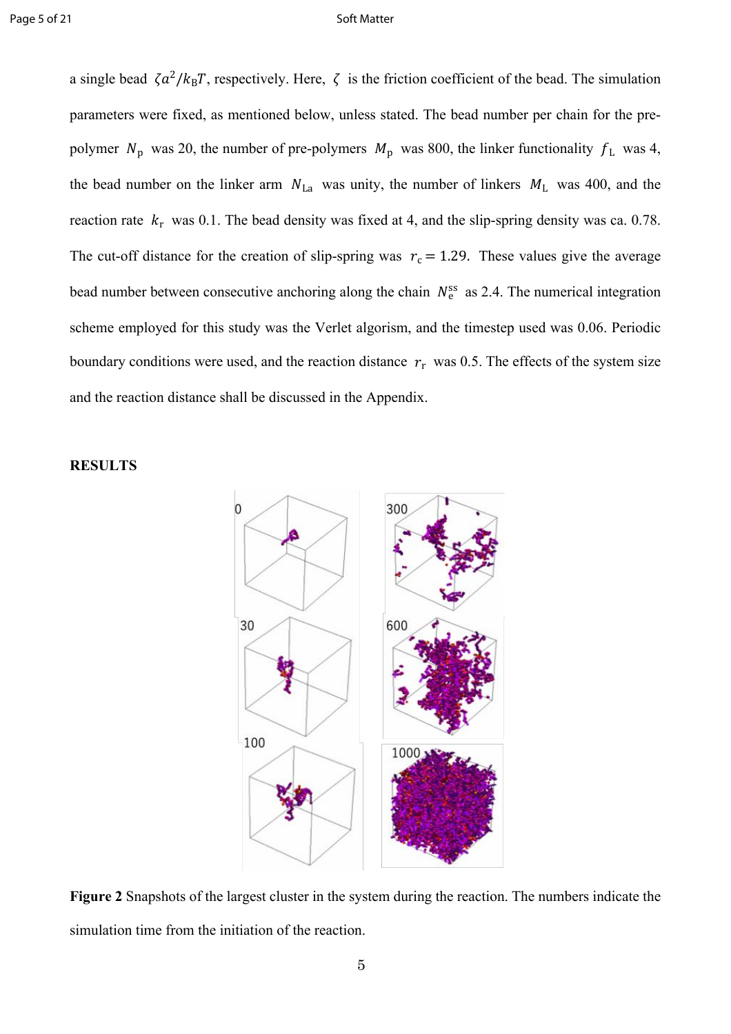a single bead  $\zeta a^2 / k_B T$ , respectively. Here,  $\zeta$  is the friction coefficient of the bead. The simulation parameters were fixed, as mentioned below, unless stated. The bead number per chain for the prepolymer  $N_p$  was 20, the number of pre-polymers  $M_p$  was 800, the linker functionality  $f_L$  was 4, the bead number on the linker arm  $N_{\text{La}}$  was unity, the number of linkers  $M_{\text{L}}$  was 400, and the reaction rate  $k_r$  was 0.1. The bead density was fixed at 4, and the slip-spring density was ca. 0.78. The cut-off distance for the creation of slip-spring was  $r_c = 1.29$ . These values give the average bead number between consecutive anchoring along the chain  $N_e^{ss}$  as 2.4. The numerical integration scheme employed for this study was the Verlet algorism, and the timestep used was 0.06. Periodic boundary conditions were used, and the reaction distance  $r_r$  was 0.5. The effects of the system size and the reaction distance shall be discussed in the Appendix.



### **RESULTS**

**Figure 2** Snapshots of the largest cluster in the system during the reaction. The numbers indicate the simulation time from the initiation of the reaction.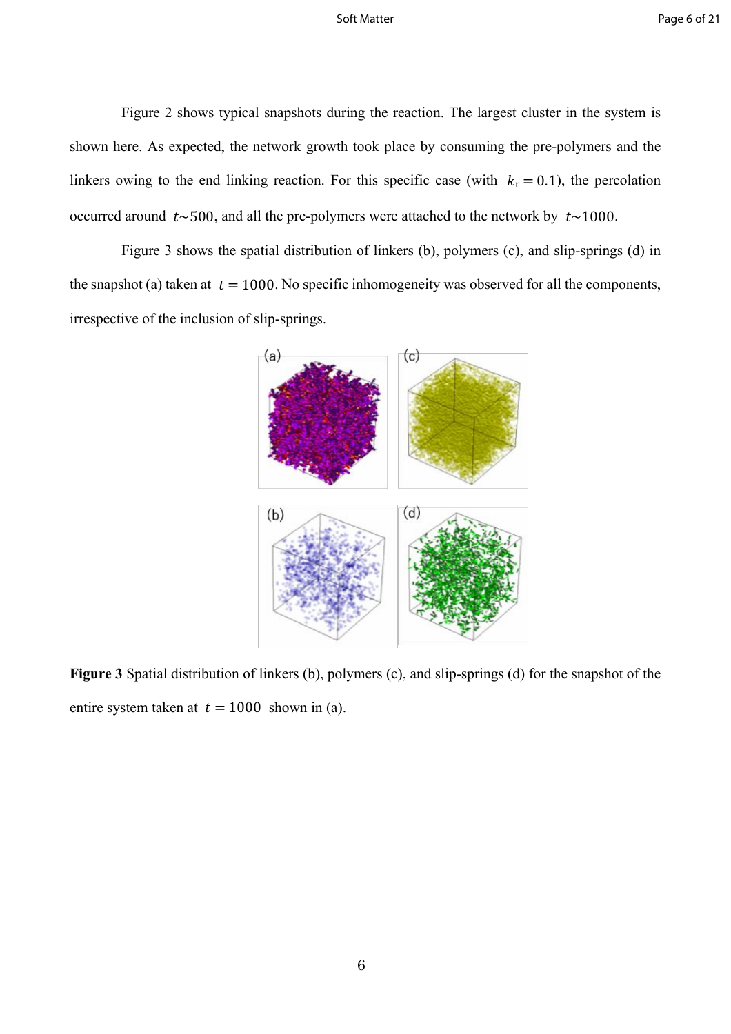Figure 2 shows typical snapshots during the reaction. The largest cluster in the system is shown here. As expected, the network growth took place by consuming the pre-polymers and the linkers owing to the end linking reaction. For this specific case (with  $k_r = 0.1$ ), the percolation occurred around  $t \sim 500$ , and all the pre-polymers were attached to the network by  $t \sim 1000$ .

Figure 3 shows the spatial distribution of linkers (b), polymers (c), and slip-springs (d) in the snapshot (a) taken at  $t = 1000$ . No specific inhomogeneity was observed for all the components, irrespective of the inclusion of slip-springs.



**Figure 3** Spatial distribution of linkers (b), polymers (c), and slip-springs (d) for the snapshot of the entire system taken at  $t = 1000$  shown in (a).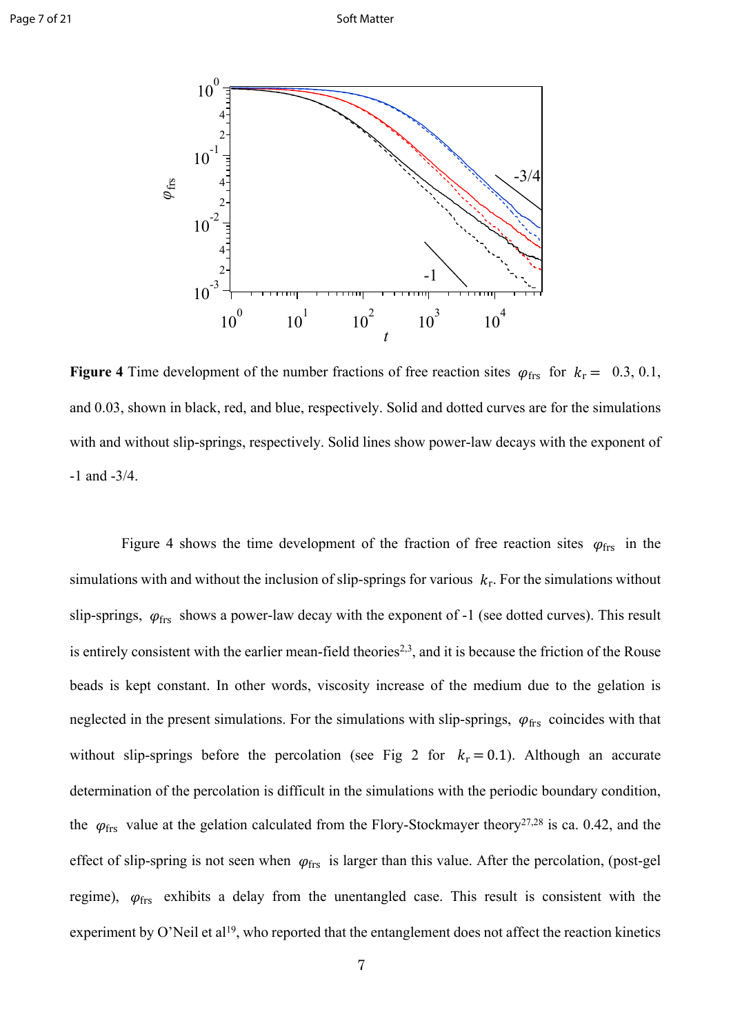

**Figure 4** Time development of the number fractions of free reaction sites  $\varphi_{\text{frs}}$  for  $k_r = 0.3, 0.1$ , and 0.03, shown in black, red, and blue, respectively. Solid and dotted curves are for the simulations with and without slip-springs, respectively. Solid lines show power-law decays with the exponent of -1 and -3/4.

Figure 4 shows the time development of the fraction of free reaction sites  $\varphi_{\text{frs}}$  in the simulations with and without the inclusion of slip-springs for various  $k_r$ . For the simulations without slip-springs,  $\varphi_{\text{frs}}$  shows a power-law decay with the exponent of -1 (see dotted curves). This result is entirely consistent with the earlier mean-field theories<sup>2,3</sup>, and it is because the friction of the Rouse beads is kept constant. In other words, viscosity increase of the medium due to the gelation is neglected in the present simulations. For the simulations with slip-springs,  $\varphi_{\text{frs}}$  coincides with that without slip-springs before the percolation (see Fig 2 for  $k_r = 0.1$ ). Although an accurate determination of the percolation is difficult in the simulations with the periodic boundary condition, the  $\varphi_{\text{frs}}$  value at the gelation calculated from the Flory-Stockmayer theory<sup>27,28</sup> is ca. 0.42, and the effect of slip-spring is not seen when  $\varphi_{\text{frs}}$  is larger than this value. After the percolation, (post-gel regime),  $\varphi_{\text{frs}}$  exhibits a delay from the unentangled case. This result is consistent with the experiment by O'Neil et al<sup>19</sup>, who reported that the entanglement does not affect the reaction kinetics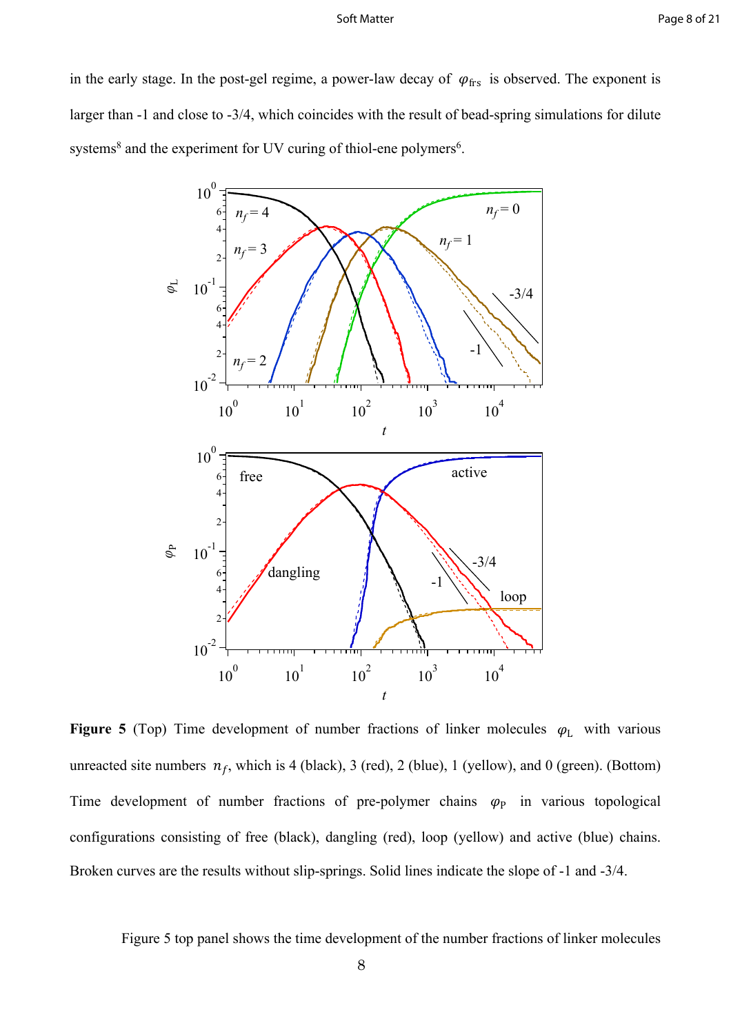in the early stage. In the post-gel regime, a power-law decay of  $\varphi_{\text{frs}}$  is observed. The exponent is larger than -1 and close to -3/4, which coincides with the result of bead-spring simulations for dilute systems<sup>8</sup> and the experiment for UV curing of thiol-ene polymers<sup>6</sup>.



**Figure 5** (Top) Time development of number fractions of linker molecules  $\varphi_L$  with various unreacted site numbers  $n_f$ , which is 4 (black), 3 (red), 2 (blue), 1 (yellow), and 0 (green). (Bottom) Time development of number fractions of pre-polymer chains  $\varphi_P$  in various topological configurations consisting of free (black), dangling (red), loop (yellow) and active (blue) chains. Broken curves are the results without slip-springs. Solid lines indicate the slope of -1 and -3/4.

Figure 5 top panel shows the time development of the number fractions of linker molecules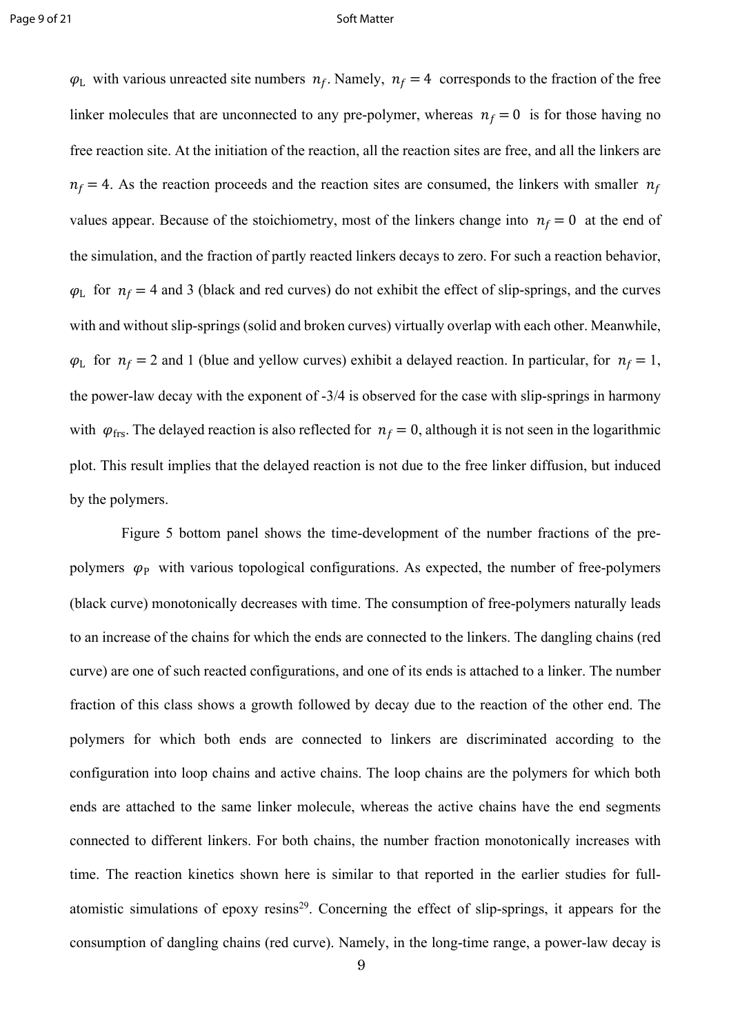$\varphi$ <sub>L</sub> with various unreacted site numbers  $n_f$ . Namely,  $n_f = 4$  corresponds to the fraction of the free linker molecules that are unconnected to any pre-polymer, whereas  $n_f = 0$  is for those having no free reaction site. At the initiation of the reaction, all the reaction sites are free, and all the linkers are  $n_f = 4$ . As the reaction proceeds and the reaction sites are consumed, the linkers with smaller  $n_f$ values appear. Because of the stoichiometry, most of the linkers change into  $n_f = 0$  at the end of the simulation, and the fraction of partly reacted linkers decays to zero. For such a reaction behavior,  $\varphi$ <sub>L</sub> for  $n_f = 4$  and 3 (black and red curves) do not exhibit the effect of slip-springs, and the curves with and without slip-springs (solid and broken curves) virtually overlap with each other. Meanwhile,  $\varphi$ <sub>L</sub> for  $n_f = 2$  and 1 (blue and yellow curves) exhibit a delayed reaction. In particular, for  $n_f = 1$ , the power-law decay with the exponent of -3/4 is observed for the case with slip-springs in harmony with  $\varphi_{\text{frs}}$ . The delayed reaction is also reflected for  $n_f = 0$ , although it is not seen in the logarithmic plot. This result implies that the delayed reaction is not due to the free linker diffusion, but induced by the polymers.

Figure 5 bottom panel shows the time-development of the number fractions of the prepolymers  $\varphi_P$  with various topological configurations. As expected, the number of free-polymers (black curve) monotonically decreases with time. The consumption of free-polymers naturally leads to an increase of the chains for which the ends are connected to the linkers. The dangling chains (red curve) are one of such reacted configurations, and one of its ends is attached to a linker. The number fraction of this class shows a growth followed by decay due to the reaction of the other end. The polymers for which both ends are connected to linkers are discriminated according to the configuration into loop chains and active chains. The loop chains are the polymers for which both ends are attached to the same linker molecule, whereas the active chains have the end segments connected to different linkers. For both chains, the number fraction monotonically increases with time. The reaction kinetics shown here is similar to that reported in the earlier studies for fullatomistic simulations of epoxy resins<sup>29</sup>. Concerning the effect of slip-springs, it appears for the consumption of dangling chains (red curve). Namely, in the long-time range, a power-law decay is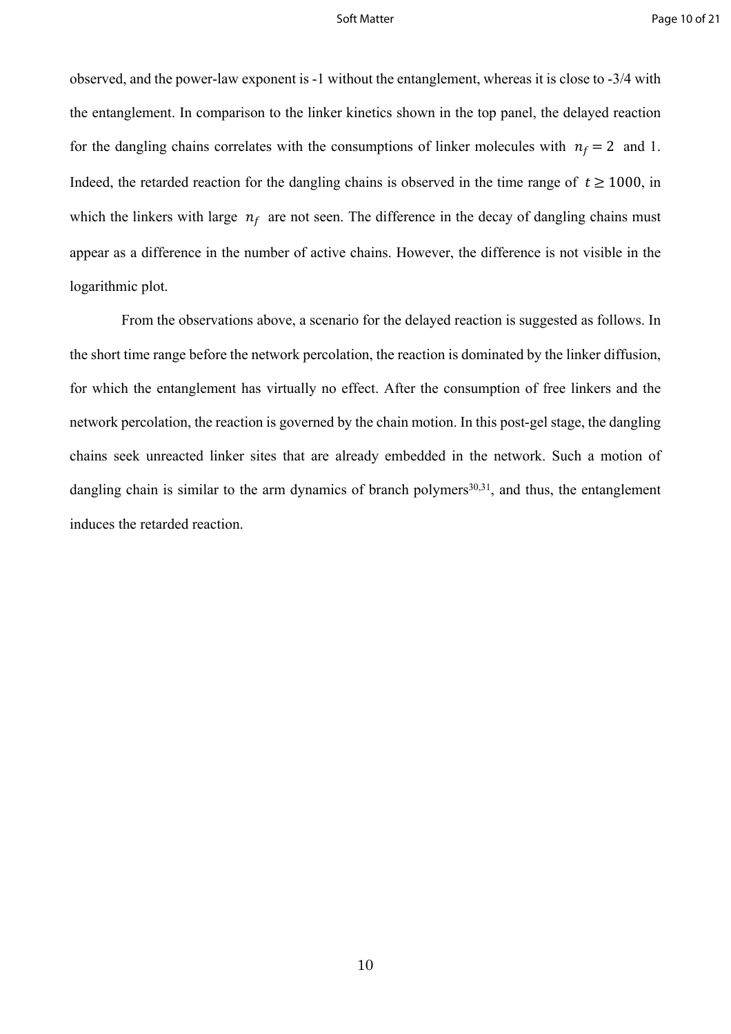observed, and the power-law exponent is -1 without the entanglement, whereas it is close to -3/4 with the entanglement. In comparison to the linker kinetics shown in the top panel, the delayed reaction for the dangling chains correlates with the consumptions of linker molecules with  $n_f = 2$  and 1. Indeed, the retarded reaction for the dangling chains is observed in the time range of  $t > 1000$ , in which the linkers with large  $n_f$  are not seen. The difference in the decay of dangling chains must appear as a difference in the number of active chains. However, the difference is not visible in the logarithmic plot.

From the observations above, a scenario for the delayed reaction is suggested as follows. In the short time range before the network percolation, the reaction is dominated by the linker diffusion, for which the entanglement has virtually no effect. After the consumption of free linkers and the network percolation, the reaction is governed by the chain motion. In this post-gel stage, the dangling chains seek unreacted linker sites that are already embedded in the network. Such a motion of dangling chain is similar to the arm dynamics of branch polymers $30,31$ , and thus, the entanglement induces the retarded reaction.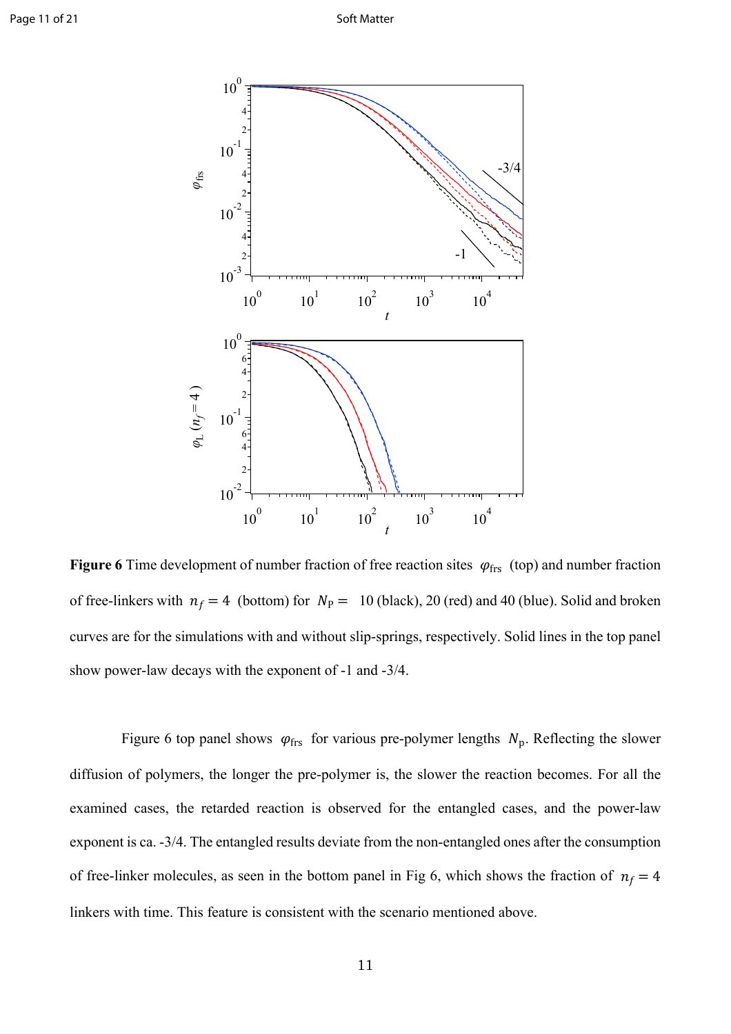

**Figure 6** Time development of number fraction of free reaction sites  $\varphi_{\text{frs}}$  (top) and number fraction of free-linkers with  $n_f = 4$  (bottom) for  $N_P = 10$  (black), 20 (red) and 40 (blue). Solid and broken curves are for the simulations with and without slip-springs, respectively. Solid lines in the top panel show power-law decays with the exponent of -1 and -3/4.

Figure 6 top panel shows  $\varphi_{\text{frs}}$  for various pre-polymer lengths  $N_p$ . Reflecting the slower diffusion of polymers, the longer the pre-polymer is, the slower the reaction becomes. For all the examined cases, the retarded reaction is observed for the entangled cases, and the power-law exponent is ca. -3/4. The entangled results deviate from the non-entangled ones after the consumption of free-linker molecules, as seen in the bottom panel in Fig 6, which shows the fraction of  $n_f = 4$ linkers with time. This feature is consistent with the scenario mentioned above.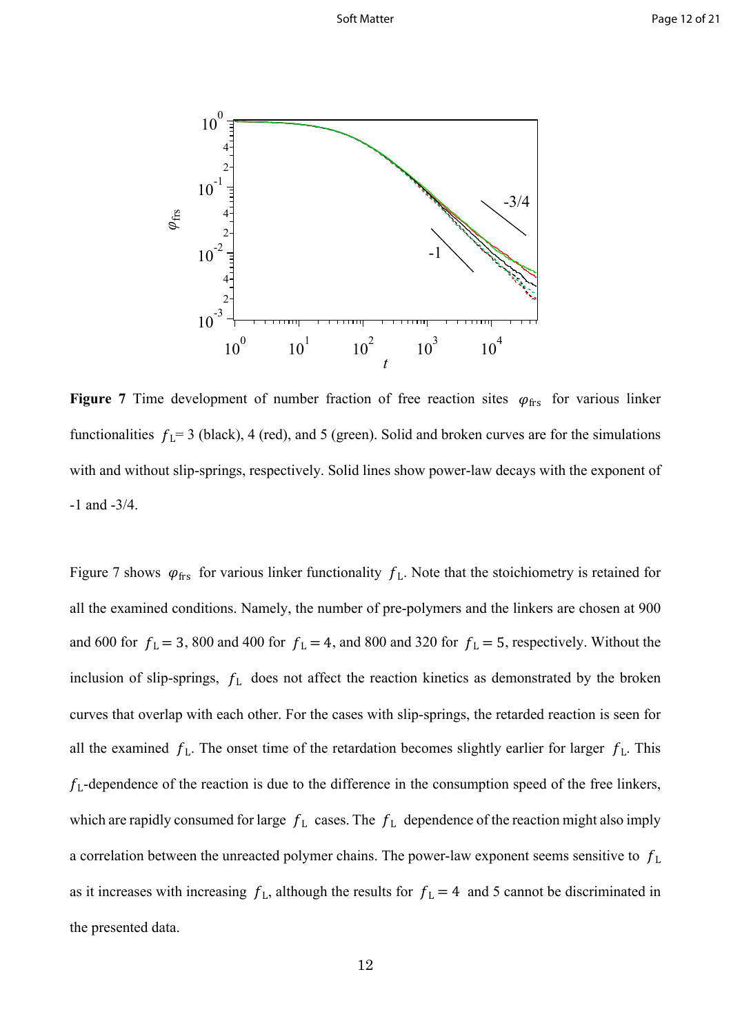

**Figure 7** Time development of number fraction of free reaction sites  $\varphi_{\text{frs}}$  for various linker functionalities  $f_L = 3$  (black), 4 (red), and 5 (green). Solid and broken curves are for the simulations with and without slip-springs, respectively. Solid lines show power-law decays with the exponent of -1 and -3/4.

Figure 7 shows  $\varphi_{\text{frs}}$  for various linker functionality  $f_L$ . Note that the stoichiometry is retained for all the examined conditions. Namely, the number of pre-polymers and the linkers are chosen at 900 and 600 for  $f_L = 3$ , 800 and 400 for  $f_L = 4$ , and 800 and 320 for  $f_L = 5$ , respectively. Without the inclusion of slip-springs,  $f_L$  does not affect the reaction kinetics as demonstrated by the broken curves that overlap with each other. For the cases with slip-springs, the retarded reaction is seen for all the examined  $f_L$ . The onset time of the retardation becomes slightly earlier for larger  $f_L$ . This  $f<sub>L</sub>$ -dependence of the reaction is due to the difference in the consumption speed of the free linkers, which are rapidly consumed for large  $f_L$  cases. The  $f_L$  dependence of the reaction might also imply a correlation between the unreacted polymer chains. The power-law exponent seems sensitive to  $f_L$ as it increases with increasing  $f_L$ , although the results for  $f_L = 4$  and 5 cannot be discriminated in the presented data.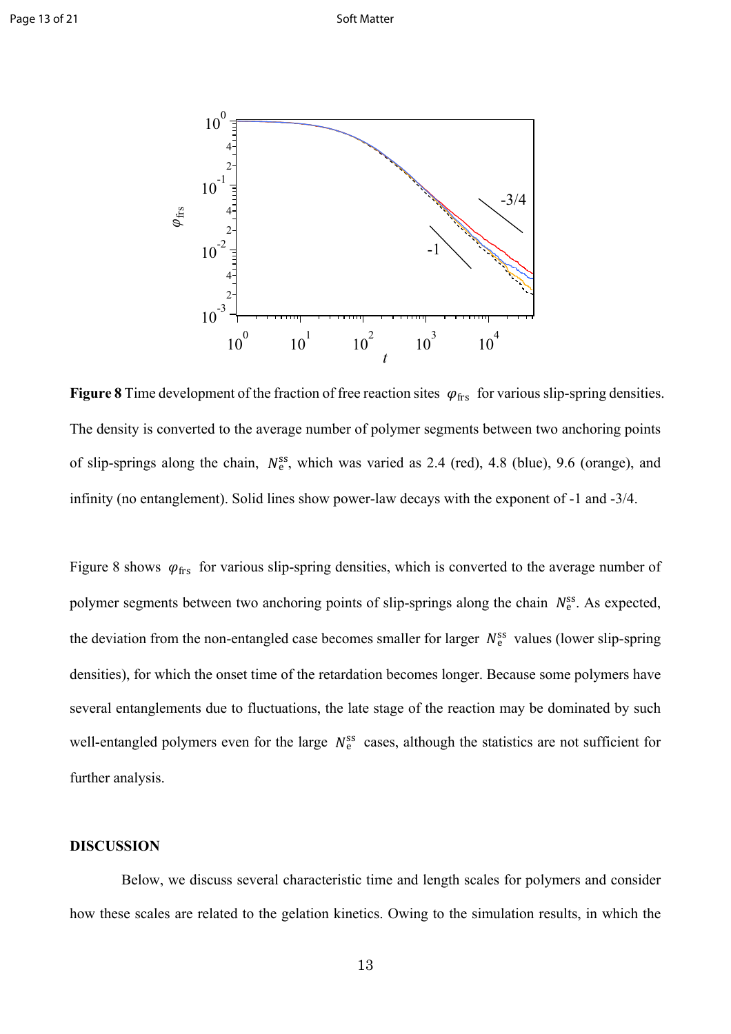

**Figure 8** Time development of the fraction of free reaction sites  $\varphi_{\text{frs}}$  for various slip-spring densities. The density is converted to the average number of polymer segments between two anchoring points of slip-springs along the chain,  $N_e^{ss}$ , which was varied as 2.4 (red), 4.8 (blue), 9.6 (orange), and infinity (no entanglement). Solid lines show power-law decays with the exponent of -1 and -3/4.

Figure 8 shows  $\varphi_{\text{frs}}$  for various slip-spring densities, which is converted to the average number of polymer segments between two anchoring points of slip-springs along the chain  $N_e^{ss}$ . As expected, the deviation from the non-entangled case becomes smaller for larger  $N_e^{ss}$  values (lower slip-spring densities), for which the onset time of the retardation becomes longer. Because some polymers have several entanglements due to fluctuations, the late stage of the reaction may be dominated by such well-entangled polymers even for the large  $N_e^{ss}$  cases, although the statistics are not sufficient for further analysis.

### **DISCUSSION**

Below, we discuss several characteristic time and length scales for polymers and consider how these scales are related to the gelation kinetics. Owing to the simulation results, in which the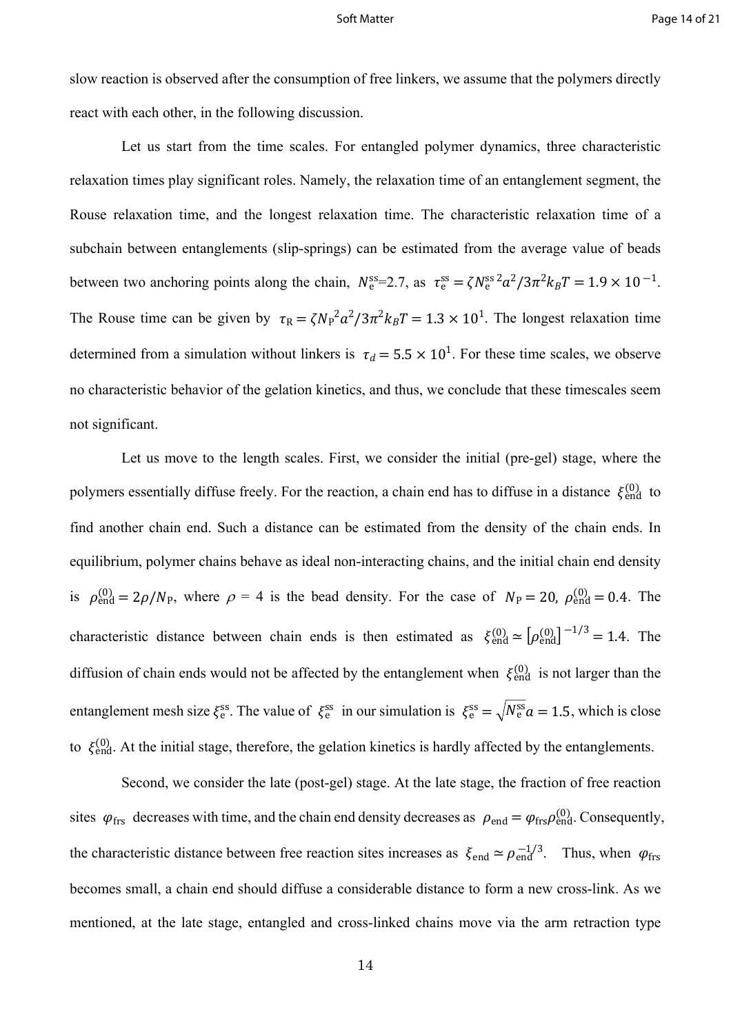slow reaction is observed after the consumption of free linkers, we assume that the polymers directly react with each other, in the following discussion.

Let us start from the time scales. For entangled polymer dynamics, three characteristic relaxation times play significant roles. Namely, the relaxation time of an entanglement segment, the Rouse relaxation time, and the longest relaxation time. The characteristic relaxation time of a subchain between entanglements (slip-springs) can be estimated from the average value of beads between two anchoring points along the chain,  $N_e^{\text{ss}}=2.7$ , as  $\tau_e^{\text{ss}} = \zeta N_e^{\text{ss}}^2 a^2/3\pi^2 k_B T = 1.9 \times 10^{-1}$ . The Rouse time can be given by  $\tau_R = \zeta N_P^2 a^2 / 3\pi^2 k_B T = 1.3 \times 10^1$ . The longest relaxation time determined from a simulation without linkers is  $\tau_d = 5.5 \times 10^1$ . For these time scales, we observe no characteristic behavior of the gelation kinetics, and thus, we conclude that these timescales seem not significant.

Let us move to the length scales. First, we consider the initial (pre-gel) stage, where the polymers essentially diffuse freely. For the reaction, a chain end has to diffuse in a distance  $\xi_{end}^{(0)}$  to find another chain end. Such a distance can be estimated from the density of the chain ends. In equilibrium, polymer chains behave as ideal non-interacting chains, and the initial chain end density is  $\rho_{\text{end}}^{(0)} = 2\rho/N_{\text{P}}$ , where  $\rho = 4$  is the bead density. For the case of  $N_{\text{P}} = 20$ ,  $\rho_{\text{end}}^{(0)} = 0.4$ . The characteristic distance between chain ends is then estimated as  $\xi_{\text{end}}^{(0)} \approx [\rho_{\text{end}}^{(0)}]^{-1/3} = 1.4$ . The diffusion of chain ends would not be affected by the entanglement when  $\xi_{end}^{(0)}$  is not larger than the entanglement mesh size  $\xi_e^{ss}$ . The value of  $\xi_e^{ss}$  in our simulation is  $\xi_e^{ss} = \sqrt{N_e^{ss} a} = 1.5$ , which is close to  $\xi_{\text{end}}^{(0)}$ . At the initial stage, therefore, the gelation kinetics is hardly affected by the entanglements.

Second, we consider the late (post-gel) stage. At the late stage, the fraction of free reaction sites  $\varphi_{\text{frs}}$  decreases with time, and the chain end density decreases as  $\rho_{\text{end}} = \varphi_{\text{frs}} \rho_{\text{end}}^{(0)}$ . Consequently, the characteristic distance between free reaction sites increases as  $\xi_{end} \approx \rho_{end}^{-1/3}$ . Thus, when  $\varphi_{frs}$ becomes small, a chain end should diffuse a considerable distance to form a new cross-link. As we mentioned, at the late stage, entangled and cross-linked chains move via the arm retraction type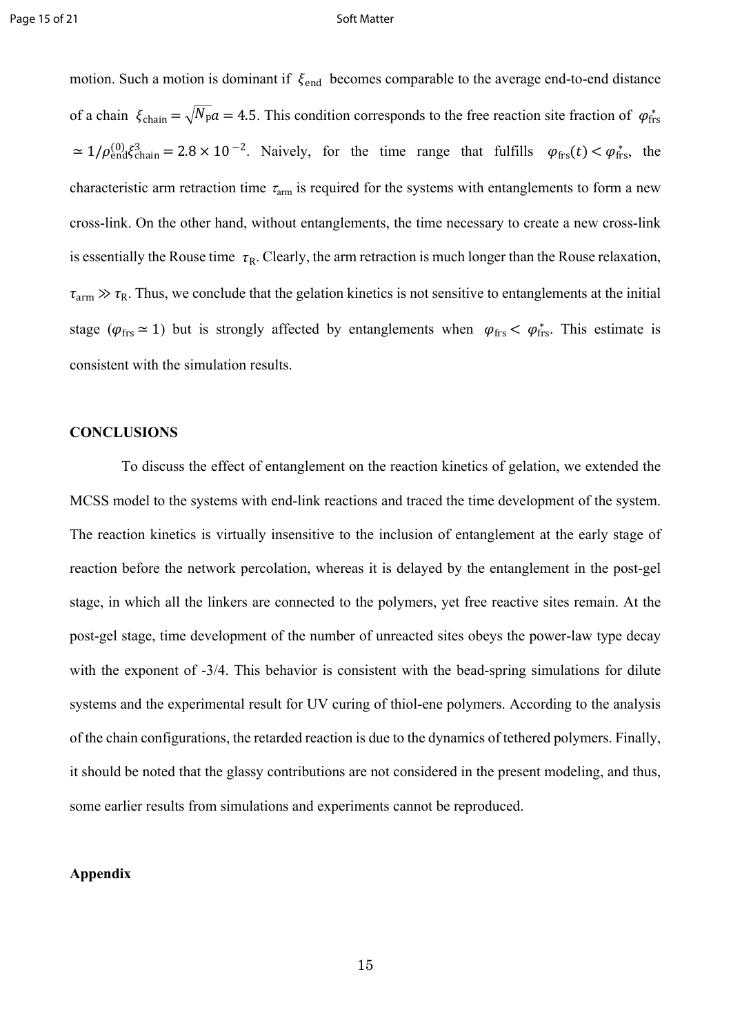motion. Such a motion is dominant if  $\xi_{end}$  becomes comparable to the average end-to-end distance of a chain  $\xi_{chain} = \sqrt{N_p a} = 4.5$ . This condition corresponds to the free reaction site fraction of  $\varphi_{\text{frs}}^*$  $\simeq 1/\rho_{\text{end}}^{(0)} \xi_{\text{chain}}^3 = 2.8 \times 10^{-2}$ . Naively, for the time range that fulfills  $\varphi_{\text{frs}}(t) < \varphi_{\text{frs}}^*$ , the characteristic arm retraction time  $\tau_{arm}$  is required for the systems with entanglements to form a new cross-link. On the other hand, without entanglements, the time necessary to create a new cross-link is essentially the Rouse time  $\tau_R$ . Clearly, the arm retraction is much longer than the Rouse relaxation,  $\tau_{arm} \gg \tau_R$ . Thus, we conclude that the gelation kinetics is not sensitive to entanglements at the initial stage ( $\varphi_{\text{frs}} \simeq 1$ ) but is strongly affected by entanglements when  $\varphi_{\text{frs}} < \varphi_{\text{frs}}^*$ . This estimate is consistent with the simulation results.

### **CONCLUSIONS**

To discuss the effect of entanglement on the reaction kinetics of gelation, we extended the MCSS model to the systems with end-link reactions and traced the time development of the system. The reaction kinetics is virtually insensitive to the inclusion of entanglement at the early stage of reaction before the network percolation, whereas it is delayed by the entanglement in the post-gel stage, in which all the linkers are connected to the polymers, yet free reactive sites remain. At the post-gel stage, time development of the number of unreacted sites obeys the power-law type decay with the exponent of  $-3/4$ . This behavior is consistent with the bead-spring simulations for dilute systems and the experimental result for UV curing of thiol-ene polymers. According to the analysis of the chain configurations, the retarded reaction is due to the dynamics of tethered polymers. Finally, it should be noted that the glassy contributions are not considered in the present modeling, and thus, some earlier results from simulations and experiments cannot be reproduced.

### **Appendix**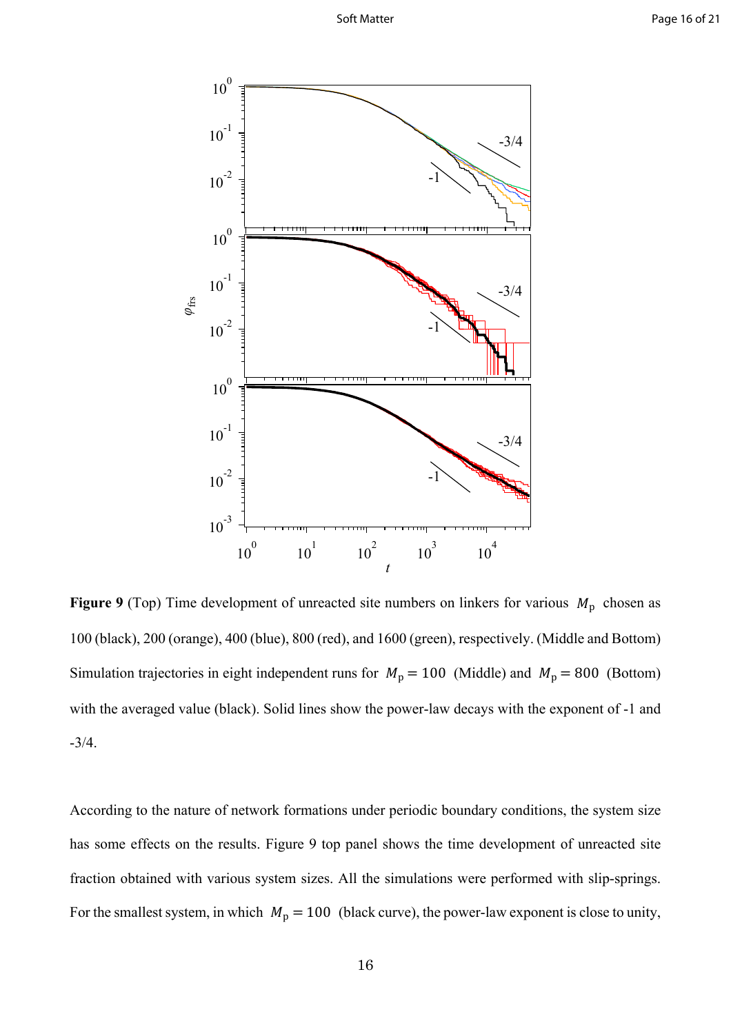

**Figure 9** (Top) Time development of unreacted site numbers on linkers for various  $M<sub>p</sub>$  chosen as 100 (black), 200 (orange), 400 (blue), 800 (red), and 1600 (green), respectively. (Middle and Bottom) Simulation trajectories in eight independent runs for  $M_p = 100$  (Middle) and  $M_p = 800$  (Bottom) with the averaged value (black). Solid lines show the power-law decays with the exponent of -1 and -3/4.

According to the nature of network formations under periodic boundary conditions, the system size has some effects on the results. Figure 9 top panel shows the time development of unreacted site fraction obtained with various system sizes. All the simulations were performed with slip-springs. For the smallest system, in which  $M_p = 100$  (black curve), the power-law exponent is close to unity,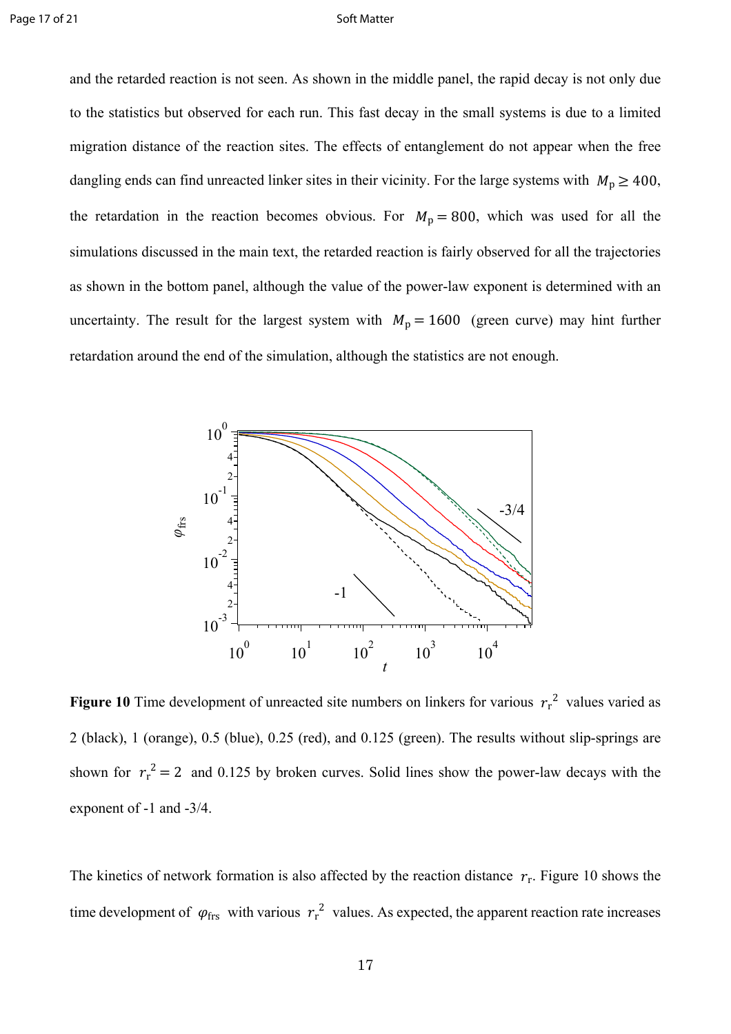and the retarded reaction is not seen. As shown in the middle panel, the rapid decay is not only due to the statistics but observed for each run. This fast decay in the small systems is due to a limited migration distance of the reaction sites. The effects of entanglement do not appear when the free dangling ends can find unreacted linker sites in their vicinity. For the large systems with  $M_{\text{p}} \ge 400$ , the retardation in the reaction becomes obvious. For  $M_p = 800$ , which was used for all the simulations discussed in the main text, the retarded reaction is fairly observed for all the trajectories as shown in the bottom panel, although the value of the power-law exponent is determined with an uncertainty. The result for the largest system with  $M_p = 1600$  (green curve) may hint further retardation around the end of the simulation, although the statistics are not enough.



**Figure 10** Time development of unreacted site numbers on linkers for various  $r_r^2$  values varied as 2 (black), 1 (orange), 0.5 (blue), 0.25 (red), and 0.125 (green). The results without slip-springs are shown for  $r_r^2 = 2$  and 0.125 by broken curves. Solid lines show the power-law decays with the exponent of -1 and -3/4.

The kinetics of network formation is also affected by the reaction distance  $r_r$ . Figure 10 shows the time development of  $\varphi_{\text{frs}}$  with various  $r_r^2$  values. As expected, the apparent reaction rate increases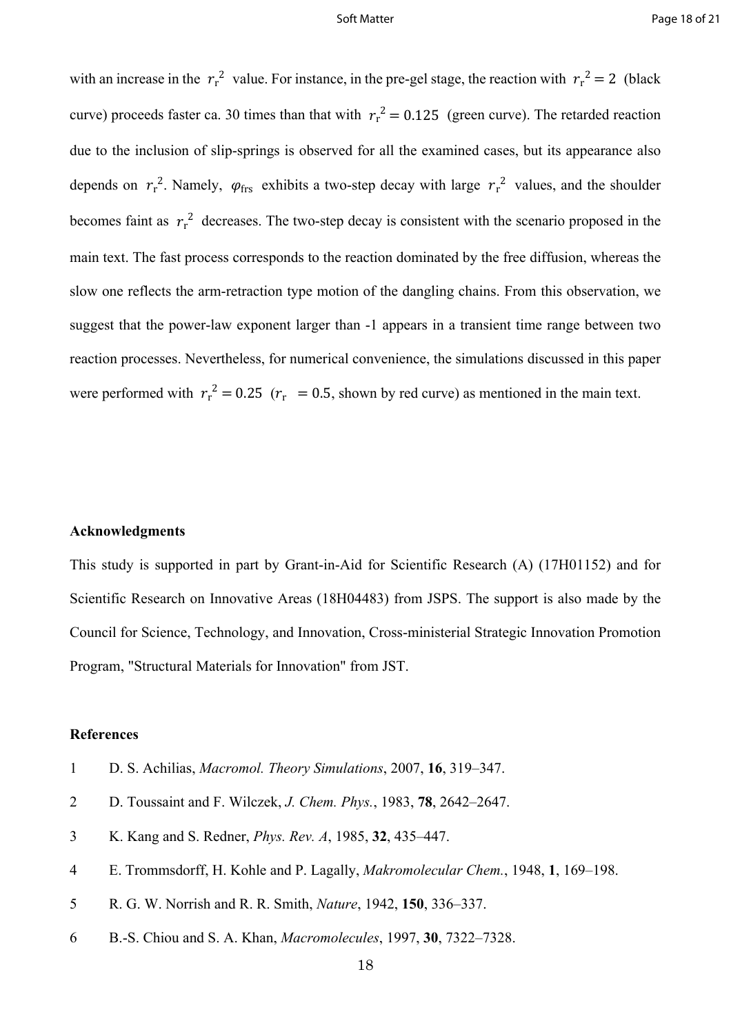with an increase in the  $r_r^2$  value. For instance, in the pre-gel stage, the reaction with  $r_r^2 = 2$  (black curve) proceeds faster ca. 30 times than that with  $r_r^2 = 0.125$  (green curve). The retarded reaction due to the inclusion of slip-springs is observed for all the examined cases, but its appearance also depends on  $r_r^2$ . Namely,  $\varphi_{\text{frs}}$  exhibits a two-step decay with large  $r_r^2$  values, and the shoulder becomes faint as  $r_r^2$  decreases. The two-step decay is consistent with the scenario proposed in the main text. The fast process corresponds to the reaction dominated by the free diffusion, whereas the slow one reflects the arm-retraction type motion of the dangling chains. From this observation, we suggest that the power-law exponent larger than -1 appears in a transient time range between two reaction processes. Nevertheless, for numerical convenience, the simulations discussed in this paper were performed with  $r_r^2 = 0.25$  ( $r_r = 0.5$ , shown by red curve) as mentioned in the main text.

### **Acknowledgments**

This study is supported in part by Grant-in-Aid for Scientific Research (A) (17H01152) and for Scientific Research on Innovative Areas (18H04483) from JSPS. The support is also made by the Council for Science, Technology, and Innovation, Cross-ministerial Strategic Innovation Promotion Program, "Structural Materials for Innovation" from JST.

### **References**

- 1 D. S. Achilias, *Macromol. Theory Simulations*, 2007, **16**, 319–347.
- 2 D. Toussaint and F. Wilczek, *J. Chem. Phys.*, 1983, **78**, 2642–2647.
- 3 K. Kang and S. Redner, *Phys. Rev. A*, 1985, **32**, 435–447.
- 4 E. Trommsdorff, H. Kohle and P. Lagally, *Makromolecular Chem.*, 1948, **1**, 169–198.
- 5 R. G. W. Norrish and R. R. Smith, *Nature*, 1942, **150**, 336–337.
- 6 B.-S. Chiou and S. A. Khan, *Macromolecules*, 1997, **30**, 7322–7328.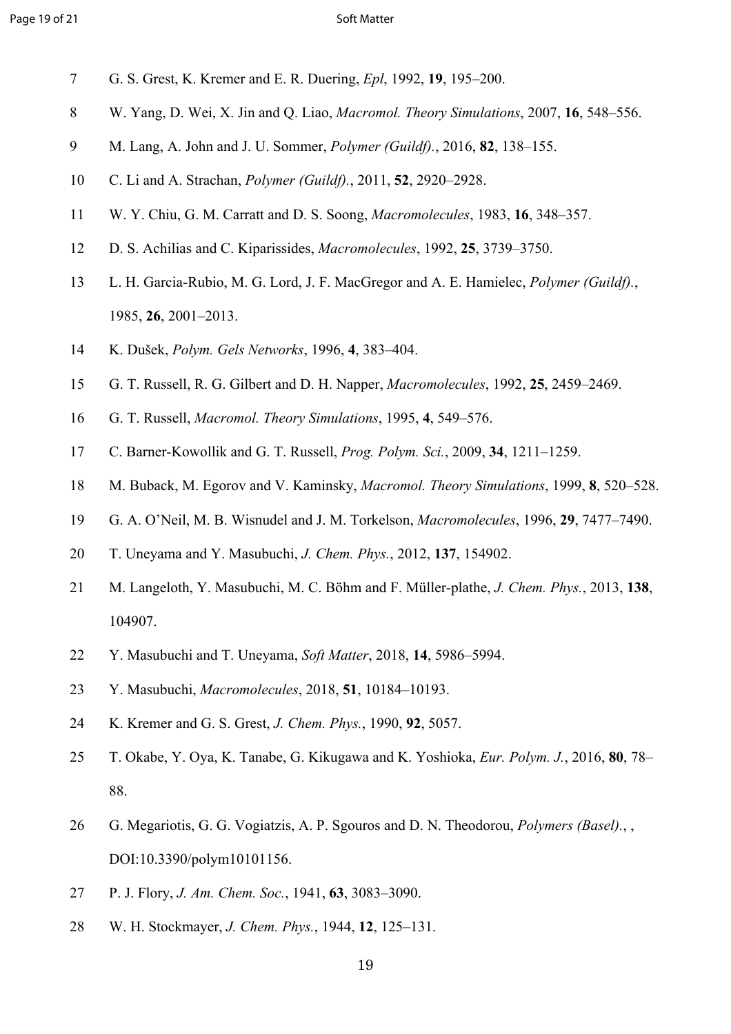- 7 G. S. Grest, K. Kremer and E. R. Duering, *Epl*, 1992, **19**, 195–200.
- 8 W. Yang, D. Wei, X. Jin and Q. Liao, *Macromol. Theory Simulations*, 2007, **16**, 548–556.
- 9 M. Lang, A. John and J. U. Sommer, *Polymer (Guildf).*, 2016, **82**, 138–155.
- 10 C. Li and A. Strachan, *Polymer (Guildf).*, 2011, **52**, 2920–2928.
- 11 W. Y. Chiu, G. M. Carratt and D. S. Soong, *Macromolecules*, 1983, **16**, 348–357.
- 12 D. S. Achilias and C. Kiparissides, *Macromolecules*, 1992, **25**, 3739–3750.
- 13 L. H. Garcia-Rubio, M. G. Lord, J. F. MacGregor and A. E. Hamielec, *Polymer (Guildf).*, 1985, **26**, 2001–2013.
- 14 K. Dušek, *Polym. Gels Networks*, 1996, **4**, 383–404.
- 15 G. T. Russell, R. G. Gilbert and D. H. Napper, *Macromolecules*, 1992, **25**, 2459–2469.
- 16 G. T. Russell, *Macromol. Theory Simulations*, 1995, **4**, 549–576.
- 17 C. Barner-Kowollik and G. T. Russell, *Prog. Polym. Sci.*, 2009, **34**, 1211–1259.
- 18 M. Buback, M. Egorov and V. Kaminsky, *Macromol. Theory Simulations*, 1999, **8**, 520–528.
- 19 G. A. O'Neil, M. B. Wisnudel and J. M. Torkelson, *Macromolecules*, 1996, **29**, 7477–7490.
- 20 T. Uneyama and Y. Masubuchi, *J. Chem. Phys.*, 2012, **137**, 154902.
- 21 M. Langeloth, Y. Masubuchi, M. C. Böhm and F. Müller-plathe, *J. Chem. Phys.*, 2013, **138**, 104907.
- 22 Y. Masubuchi and T. Uneyama, *Soft Matter*, 2018, **14**, 5986–5994.
- 23 Y. Masubuchi, *Macromolecules*, 2018, **51**, 10184–10193.
- 24 K. Kremer and G. S. Grest, *J. Chem. Phys.*, 1990, **92**, 5057.
- 25 T. Okabe, Y. Oya, K. Tanabe, G. Kikugawa and K. Yoshioka, *Eur. Polym. J.*, 2016, **80**, 78– 88.
- 26 G. Megariotis, G. G. Vogiatzis, A. P. Sgouros and D. N. Theodorou, *Polymers (Basel).*, , DOI:10.3390/polym10101156.
- 27 P. J. Flory, *J. Am. Chem. Soc.*, 1941, **63**, 3083–3090.
- 28 W. H. Stockmayer, *J. Chem. Phys.*, 1944, **12**, 125–131.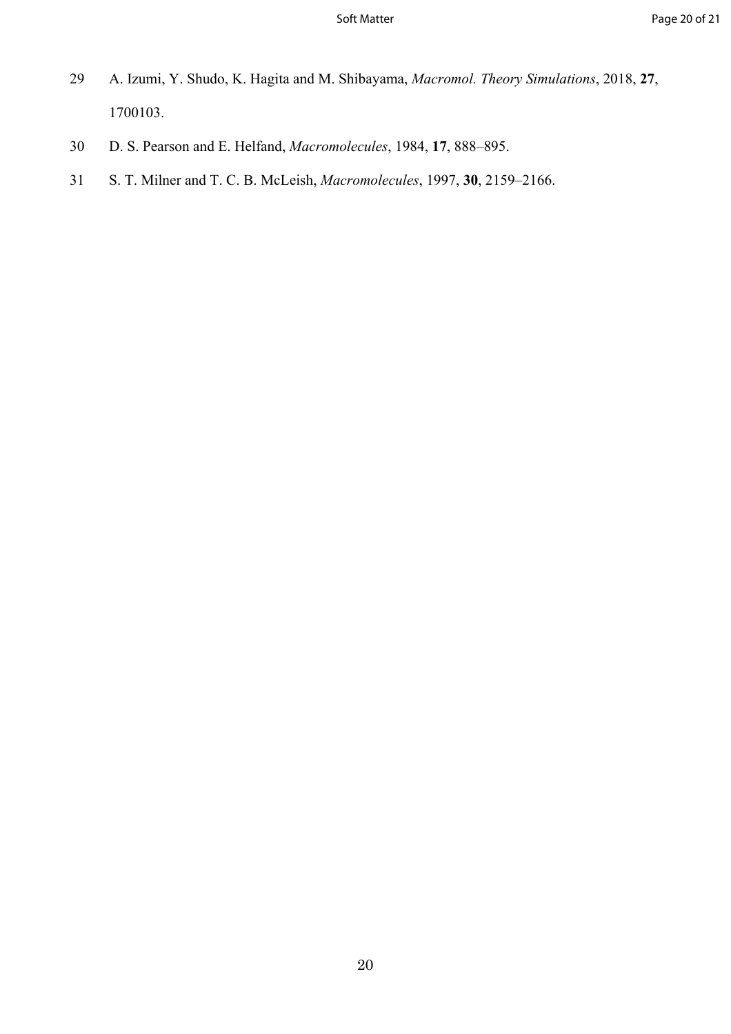- 29 A. Izumi, Y. Shudo, K. Hagita and M. Shibayama, *Macromol. Theory Simulations*, 2018, **27**, 1700103.
- 30 D. S. Pearson and E. Helfand, *Macromolecules*, 1984, **17**, 888–895.
- 31 S. T. Milner and T. C. B. McLeish, *Macromolecules*, 1997, **30**, 2159–2166.